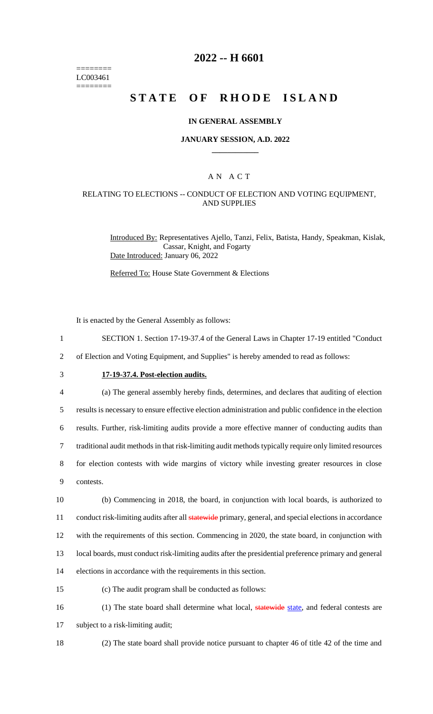======== LC003461 ========

# **2022 -- H 6601**

# **STATE OF RHODE ISLAND**

### **IN GENERAL ASSEMBLY**

#### **JANUARY SESSION, A.D. 2022 \_\_\_\_\_\_\_\_\_\_\_\_**

### A N A C T

### RELATING TO ELECTIONS -- CONDUCT OF ELECTION AND VOTING EQUIPMENT, AND SUPPLIES

Introduced By: Representatives Ajello, Tanzi, Felix, Batista, Handy, Speakman, Kislak, Cassar, Knight, and Fogarty Date Introduced: January 06, 2022

Referred To: House State Government & Elections

It is enacted by the General Assembly as follows:

- 1 SECTION 1. Section 17-19-37.4 of the General Laws in Chapter 17-19 entitled "Conduct
- 2 of Election and Voting Equipment, and Supplies" is hereby amended to read as follows:
- 

# 3 **17-19-37.4. Post-election audits.**

4 (a) The general assembly hereby finds, determines, and declares that auditing of election

5 results is necessary to ensure effective election administration and public confidence in the election

6 results. Further, risk-limiting audits provide a more effective manner of conducting audits than

7 traditional audit methods in that risk-limiting audit methods typically require only limited resources

8 for election contests with wide margins of victory while investing greater resources in close 9 contests.

 (b) Commencing in 2018, the board, in conjunction with local boards, is authorized to 11 conduct risk-limiting audits after all **statewide** primary, general, and special elections in accordance with the requirements of this section. Commencing in 2020, the state board, in conjunction with local boards, must conduct risk-limiting audits after the presidential preference primary and general elections in accordance with the requirements in this section.

15 (c) The audit program shall be conducted as follows:

16 (1) The state board shall determine what local, statewide state, and federal contests are

17 subject to a risk-limiting audit;

18 (2) The state board shall provide notice pursuant to chapter 46 of title 42 of the time and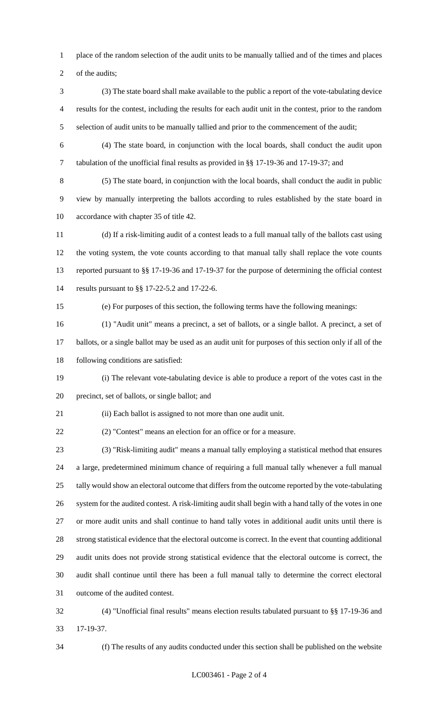place of the random selection of the audit units to be manually tallied and of the times and places

2 of the audits;

- (3) The state board shall make available to the public a report of the vote-tabulating device results for the contest, including the results for each audit unit in the contest, prior to the random selection of audit units to be manually tallied and prior to the commencement of the audit;
- 

 (4) The state board, in conjunction with the local boards, shall conduct the audit upon tabulation of the unofficial final results as provided in §§ 17-19-36 and 17-19-37; and

 (5) The state board, in conjunction with the local boards, shall conduct the audit in public view by manually interpreting the ballots according to rules established by the state board in accordance with chapter 35 of title 42.

 (d) If a risk-limiting audit of a contest leads to a full manual tally of the ballots cast using the voting system, the vote counts according to that manual tally shall replace the vote counts reported pursuant to §§ 17-19-36 and 17-19-37 for the purpose of determining the official contest results pursuant to §§ 17-22-5.2 and 17-22-6.

(e) For purposes of this section, the following terms have the following meanings:

 (1) "Audit unit" means a precinct, a set of ballots, or a single ballot. A precinct, a set of ballots, or a single ballot may be used as an audit unit for purposes of this section only if all of the

following conditions are satisfied:

 (i) The relevant vote-tabulating device is able to produce a report of the votes cast in the precinct, set of ballots, or single ballot; and

(ii) Each ballot is assigned to not more than one audit unit.

(2) "Contest" means an election for an office or for a measure.

 (3) "Risk-limiting audit" means a manual tally employing a statistical method that ensures a large, predetermined minimum chance of requiring a full manual tally whenever a full manual tally would show an electoral outcome that differs from the outcome reported by the vote-tabulating system for the audited contest. A risk-limiting audit shall begin with a hand tally of the votes in one or more audit units and shall continue to hand tally votes in additional audit units until there is 28 strong statistical evidence that the electoral outcome is correct. In the event that counting additional audit units does not provide strong statistical evidence that the electoral outcome is correct, the audit shall continue until there has been a full manual tally to determine the correct electoral outcome of the audited contest.

 (4) "Unofficial final results" means election results tabulated pursuant to §§ 17-19-36 and 17-19-37.

(f) The results of any audits conducted under this section shall be published on the website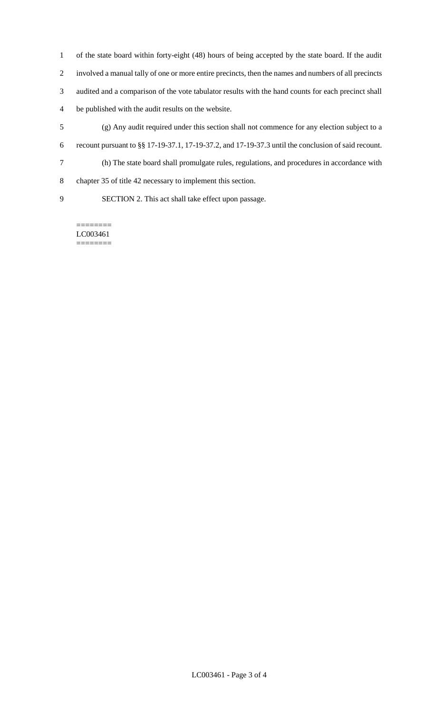of the state board within forty-eight (48) hours of being accepted by the state board. If the audit involved a manual tally of one or more entire precincts, then the names and numbers of all precincts audited and a comparison of the vote tabulator results with the hand counts for each precinct shall be published with the audit results on the website.

- (g) Any audit required under this section shall not commence for any election subject to a recount pursuant to §§ 17-19-37.1, 17-19-37.2, and 17-19-37.3 until the conclusion of said recount.
- (h) The state board shall promulgate rules, regulations, and procedures in accordance with
- chapter 35 of title 42 necessary to implement this section.
- SECTION 2. This act shall take effect upon passage.

LC003461 ========

========